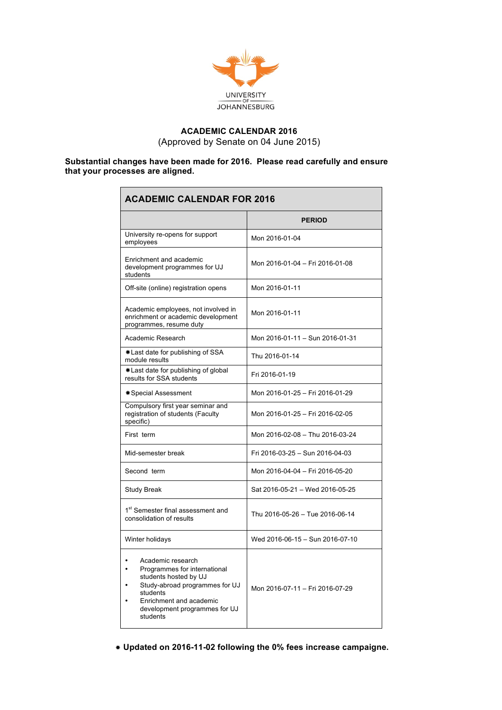

## **ACADEMIC CALENDAR 2016** (Approved by Senate on 04 June 2015)

## **Substantial changes have been made for 2016. Please read carefully and ensure that your processes are aligned.**

| <b>ACADEMIC CALENDAR FOR 2016</b>                                                                                                                                                                |                                 |  |
|--------------------------------------------------------------------------------------------------------------------------------------------------------------------------------------------------|---------------------------------|--|
|                                                                                                                                                                                                  | <b>PERIOD</b>                   |  |
| University re-opens for support<br>employees                                                                                                                                                     | Mon 2016-01-04                  |  |
| Enrichment and academic<br>development programmes for UJ<br>students                                                                                                                             | Mon 2016-01-04 - Fri 2016-01-08 |  |
| Off-site (online) registration opens                                                                                                                                                             | Mon 2016-01-11                  |  |
| Academic employees, not involved in<br>enrichment or academic development<br>programmes, resume duty                                                                                             | Mon 2016-01-11                  |  |
| Academic Research                                                                                                                                                                                | Mon 2016-01-11 - Sun 2016-01-31 |  |
| *Last date for publishing of SSA<br>module results                                                                                                                                               | Thu 2016-01-14                  |  |
| *Last date for publishing of global<br>results for SSA students                                                                                                                                  | Fri 2016-01-19                  |  |
| <b>*Special Assessment</b>                                                                                                                                                                       | Mon 2016-01-25 - Fri 2016-01-29 |  |
| Compulsory first year seminar and<br>registration of students (Faculty<br>specific)                                                                                                              | Mon 2016-01-25 - Fri 2016-02-05 |  |
| First term                                                                                                                                                                                       | Mon 2016-02-08 - Thu 2016-03-24 |  |
| Mid-semester break                                                                                                                                                                               | Fri 2016-03-25 - Sun 2016-04-03 |  |
| Second term                                                                                                                                                                                      | Mon 2016-04-04 - Fri 2016-05-20 |  |
| <b>Study Break</b>                                                                                                                                                                               | Sat 2016-05-21 - Wed 2016-05-25 |  |
| 1 <sup>st</sup> Semester final assessment and<br>consolidation of results                                                                                                                        | Thu 2016-05-26 - Tue 2016-06-14 |  |
| Winter holidays                                                                                                                                                                                  | Wed 2016-06-15 - Sun 2016-07-10 |  |
| Academic research<br>Programmes for international<br>students hosted by UJ<br>Study-abroad programmes for UJ<br>students<br>Enrichment and academic<br>development programmes for UJ<br>students | Mon 2016-07-11 - Fri 2016-07-29 |  |

**Updated on 2016-11-02 following the 0% fees increase campaigne.**